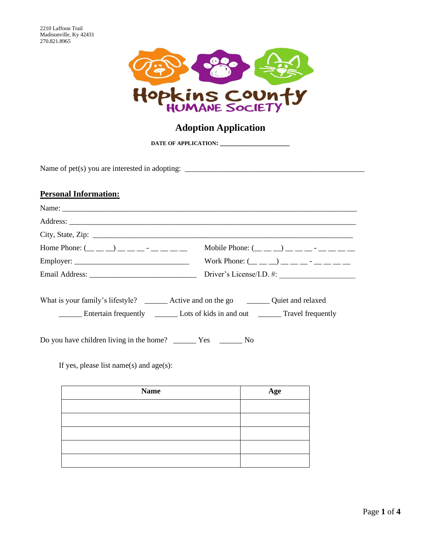

# **Adoption Application**

**DATE OF APPLICATION: \_\_\_\_\_\_\_\_\_\_\_\_\_\_\_\_\_\_\_\_**

Name of pet(s) you are interested in adopting: \_\_\_\_\_\_\_\_\_\_\_\_\_\_\_\_\_\_\_\_\_\_\_\_\_\_\_\_\_\_\_\_\_\_\_\_\_\_\_\_\_\_\_\_\_\_\_

## **Personal Information:**

| Home Phone: $(\_ \_ \_ \_ \_ \_ \_ \_ \_ \_ \_ \_ \_ \_$                                     | Mobile Phone: $(\_ \_ \_ \_ \_ \_ \_ \_ \_ \_ \_ \_ \_ \_ \_ \_$              |
|----------------------------------------------------------------------------------------------|-------------------------------------------------------------------------------|
|                                                                                              | Work Phone: $(\_\_ \_ \_ )$ $(\_\_ \_ \_ \_ \_ \_ \_ \_ \_ \_ \_ \_ \_ \_ \_$ |
|                                                                                              | Driver's License/I.D. #:                                                      |
| What is your family's lifestyle? _________ Active and on the go __________ Quiet and relaxed |                                                                               |
|                                                                                              |                                                                               |
| If yes, please list name(s) and $age(s)$ :                                                   |                                                                               |

| <b>Name</b> | Age |
|-------------|-----|
|             |     |
|             |     |
|             |     |
|             |     |
|             |     |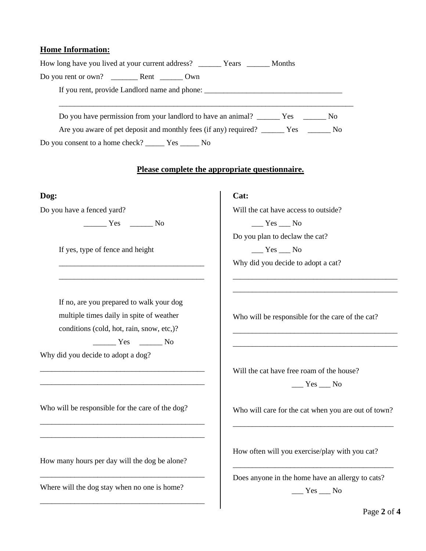#### **Home Information:**

| How long have you lived at your current address? ________ Years ________ Months      |
|--------------------------------------------------------------------------------------|
|                                                                                      |
|                                                                                      |
| Do you have permission from your landlord to have an animal? ______ Yes _______ No   |
| Are you aware of pet deposit and monthly fees (if any) required? ______ Yes _____ No |
| Do you consent to a home check? ________ Yes _______ No                              |
|                                                                                      |
| Please complete the appropriate questionnaire.                                       |
| Cat:                                                                                 |
| Will the cat have access to outside?                                                 |
| $\_\_\_\$ Yes $\_\_\$ No                                                             |
| Do you plan to declaw the cat?                                                       |
| $\frac{1}{1}$ Yes $\frac{1}{1}$ No                                                   |
| Why did you decide to adopt a cat?                                                   |
|                                                                                      |
|                                                                                      |
| Who will be responsible for the care of the cat?                                     |
|                                                                                      |
|                                                                                      |
|                                                                                      |
| Will the cat have free roam of the house?                                            |
| $\frac{1}{2}$ Yes $\frac{1}{2}$ No                                                   |
|                                                                                      |

Who will be responsible for the care of the dog?

\_\_\_\_\_\_\_\_\_\_\_\_\_\_\_\_\_\_\_\_\_\_\_\_\_\_\_\_\_\_\_\_\_\_\_\_\_\_\_\_\_\_\_ \_\_\_\_\_\_\_\_\_\_\_\_\_\_\_\_\_\_\_\_\_\_\_\_\_\_\_\_\_\_\_\_\_\_\_\_\_\_\_\_\_\_\_

\_\_\_\_\_\_\_\_\_\_\_\_\_\_\_\_\_\_\_\_\_\_\_\_\_\_\_\_\_\_\_\_\_\_\_\_\_\_\_\_\_\_\_

\_\_\_\_\_\_\_\_\_\_\_\_\_\_\_\_\_\_\_\_\_\_\_\_\_\_\_\_\_\_\_\_\_\_\_\_\_\_\_\_\_\_\_

How many hours per day will the dog be alone?

Where will the dog stay when no one is home?

Who will care for the cat when you are out of town? \_\_\_\_\_\_\_\_\_\_\_\_\_\_\_\_\_\_\_\_\_\_\_\_\_\_\_\_\_\_\_\_\_\_\_\_\_\_\_\_\_\_

How often will you exercise/play with you cat?

Does anyone in the home have an allergy to cats?  $\_\_\_\$  Yes  $\_\_\$  No

\_\_\_\_\_\_\_\_\_\_\_\_\_\_\_\_\_\_\_\_\_\_\_\_\_\_\_\_\_\_\_\_\_\_\_\_\_\_\_\_\_\_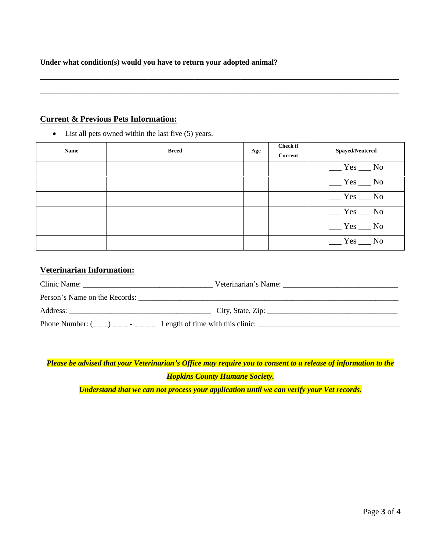**Under what condition(s) would you have to return your adopted animal?**

#### **Current & Previous Pets Information:**

• List all pets owned within the last five (5) years.

| <b>Name</b> | <b>Breed</b> | Age | <b>Check if</b><br><b>Current</b> | <b>Spayed/Neutered</b> |
|-------------|--------------|-----|-----------------------------------|------------------------|
|             |              |     |                                   | $Yes$ No               |
|             |              |     |                                   | $Yes$ No               |
|             |              |     |                                   | $Yes$ No               |
|             |              |     |                                   | $Yes$ No               |
|             |              |     |                                   | $Yes$ No               |
|             |              |     |                                   | $Yes$ No               |

\_\_\_\_\_\_\_\_\_\_\_\_\_\_\_\_\_\_\_\_\_\_\_\_\_\_\_\_\_\_\_\_\_\_\_\_\_\_\_\_\_\_\_\_\_\_\_\_\_\_\_\_\_\_\_\_\_\_\_\_\_\_\_\_\_\_\_\_\_\_\_\_\_\_\_\_\_\_\_\_\_\_\_\_\_\_

\_\_\_\_\_\_\_\_\_\_\_\_\_\_\_\_\_\_\_\_\_\_\_\_\_\_\_\_\_\_\_\_\_\_\_\_\_\_\_\_\_\_\_\_\_\_\_\_\_\_\_\_\_\_\_\_\_\_\_\_\_\_\_\_\_\_\_\_\_\_\_\_\_\_\_\_\_\_\_\_\_\_\_\_\_\_

### **Veterinarian Information:**

| Clinic Name:                     |                                                                                                                                                         |  |
|----------------------------------|---------------------------------------------------------------------------------------------------------------------------------------------------------|--|
| Person's Name on the Records:    |                                                                                                                                                         |  |
|                                  |                                                                                                                                                         |  |
| Phone Number: $($ __) ___- - ___ | Length of time with this clinic:<br><u> 1989 - John Stone, Amerikaans en beskriuwer in de Fryske kommunister en beskriuwer in de Fryske kommunister</u> |  |

*Please be advised that your Veterinarian's Office may require you to consent to a release of information to the Hopkins County Humane Society.*

*Understand that we can not process your application until we can verify your Vet records.*